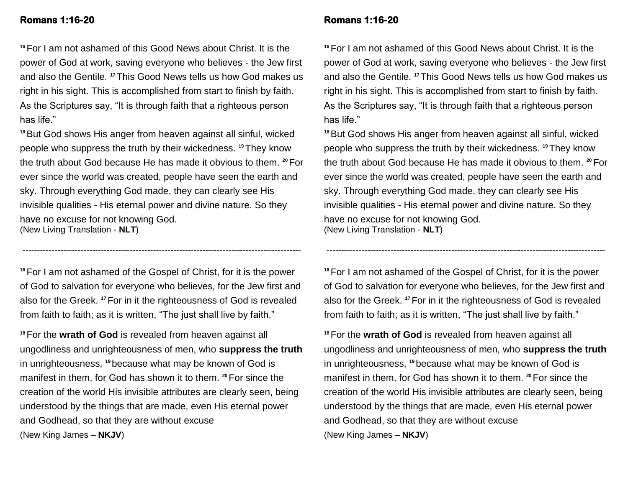## **Romans 1:16-20**

# **<sup>16</sup>**For I am not ashamed of this Good News about Christ. It is the power of God at work, saving everyone who believes - the Jew first and also the Gentile. **<sup>17</sup>**This Good News tells us how God makes us right in his sight. This is accomplished from start to finish by faith. As the Scriptures say, "It is through faith that a righteous person has life."

**<sup>18</sup>**But God shows His anger from heaven against all sinful, wicked people who suppress the truth by their wickedness. **19**They know the truth about God because He has made it obvious to them. **<sup>20</sup>**For ever since the world was created, people have seen the earth and sky. Through everything God made, they can clearly see His invisible qualities - His eternal power and divine nature. So they have no excuse for not knowing God. (New Living Translation - **NLT**)

**<sup>16</sup>**For I am not ashamed of the Gospel of Christ, for it is the power of God to salvation for everyone who believes, for the Jew first and also for the Greek. **<sup>17</sup>**For in it the righteousness of God is revealed from faith to faith; as it is written, "The just shall live by faith."

------------------------------------------------------------------------------------------------

**<sup>18</sup>**For the **wrath of God** is revealed from heaven against all ungodliness and unrighteousness of men, who **suppress the truth** in unrighteousness, **<sup>19</sup>** because what may be known of God is manifest in them, for God has shown it to them. <sup>20</sup> For since the creation of the world His invisible attributes are clearly seen, being understood by the things that are made, even His eternal power and Godhead, so that they are without excuse (New King James – **NKJV**)

## **Romans 1:16-20**

**<sup>16</sup>**For I am not ashamed of this Good News about Christ. It is the power of God at work, saving everyone who believes - the Jew first and also the Gentile. **<sup>17</sup>**This Good News tells us how God makes us right in his sight. This is accomplished from start to finish by faith. As the Scriptures say, "It is through faith that a righteous person has life."

**<sup>18</sup>**But God shows His anger from heaven against all sinful, wicked people who suppress the truth by their wickedness. **19**They know the truth about God because He has made it obvious to them. **<sup>20</sup>**For ever since the world was created, people have seen the earth and sky. Through everything God made, they can clearly see His invisible qualities - His eternal power and divine nature. So they have no excuse for not knowing God. (New Living Translation - **NLT**)

**<sup>16</sup>**For I am not ashamed of the Gospel of Christ, for it is the power of God to salvation for everyone who believes, for the Jew first and also for the Greek. **<sup>17</sup>**For in it the righteousness of God is revealed from faith to faith; as it is written, "The just shall live by faith."

------------------------------------------------------------------------------------------------

**<sup>18</sup>**For the **wrath of God** is revealed from heaven against all ungodliness and unrighteousness of men, who **suppress the truth** in unrighteousness, **<sup>19</sup>** because what may be known of God is manifest in them, for God has shown it to them. **20**For since the creation of the world His invisible attributes are clearly seen, being understood by the things that are made, even His eternal power and Godhead, so that they are without excuse (New King James – **NKJV**)